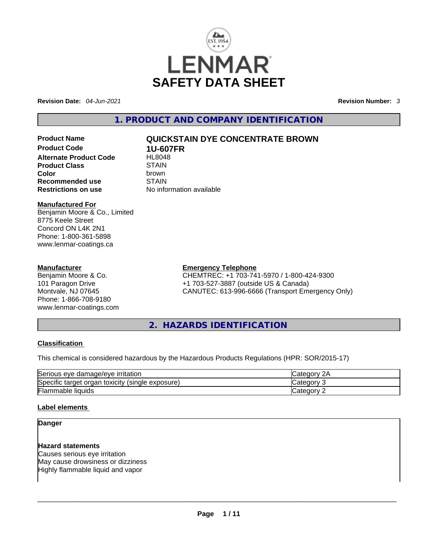

**Revision Date:** *04-Jun-2021* **Revision Number:** *3*

**1. PRODUCT AND COMPANY IDENTIFICATION** 

**Product Code 1U-607FR Alternate Product Code 6 HL8048**<br>Product Class **STAIN Product Class Color** brown **Recommended use** STAIN **Restrictions on use** No information available

# **Product Name QUICKSTAIN DYE CONCENTRATE BROWN**

#### **Manufactured For**

Benjamin Moore & Co., Limited 8775 Keele Street Concord ON L4K 2N1 Phone: 1-800-361-5898 www.lenmar-coatings.ca

#### **Manufacturer**

Benjamin Moore & Co. 101 Paragon Drive Montvale, NJ 07645 Phone: 1-866-708-9180 www.lenmar-coatings.com

#### **Emergency Telephone**

CHEMTREC: +1 703-741-5970 / 1-800-424-9300 +1 703-527-3887 (outside US & Canada) CANUTEC: 613-996-6666 (Transport Emergency Only)

**2. HAZARDS IDENTIFICATION** 

#### **Classification**

This chemical is considered hazardous by the Hazardous Products Regulations (HPR: SOR/2015-17)

| Serious eye damage/eye irritation                   | 2A<br>∵ategorvٽ |
|-----------------------------------------------------|-----------------|
| Specific target organ toxicity<br>(single exposure) | ∵ ategoryٽ      |
| <b>Flammable liquids</b>                            | ∴categorv       |

#### **Label elements**

#### **Danger**

**Hazard statements** Causes serious eye irritation May cause drowsiness or dizziness Highly flammable liquid and vapor \_\_\_\_\_\_\_\_\_\_\_\_\_\_\_\_\_\_\_\_\_\_\_\_\_\_\_\_\_\_\_\_\_\_\_\_\_\_\_\_\_\_\_\_\_\_\_\_\_\_\_\_\_\_\_\_\_\_\_\_\_\_\_\_\_\_\_\_\_\_\_\_\_\_\_\_\_\_\_\_\_\_\_\_\_\_\_\_\_\_\_\_\_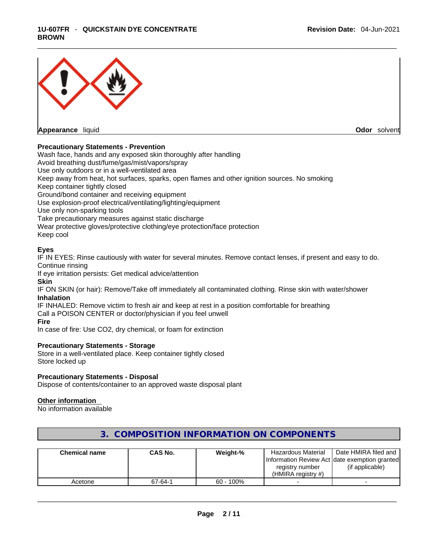#### \_\_\_\_\_\_\_\_\_\_\_\_\_\_\_\_\_\_\_\_\_\_\_\_\_\_\_\_\_\_\_\_\_\_\_\_\_\_\_\_\_\_\_\_\_\_\_\_\_\_\_\_\_\_\_\_\_\_\_\_\_\_\_\_\_\_\_\_\_\_\_\_\_\_\_\_\_\_\_\_\_\_\_\_\_\_\_\_\_\_\_\_\_ **1U-607FR** - **QUICKSTAIN DYE CONCENTRATE BROWN**



#### **Precautionary Statements - Prevention**

Wash face, hands and any exposed skin thoroughly after handling Avoid breathing dust/fume/gas/mist/vapors/spray Use only outdoors or in a well-ventilated area Keep away from heat, hot surfaces, sparks, open flames and other ignition sources. No smoking Keep container tightly closed Ground/bond container and receiving equipment Use explosion-proof electrical/ventilating/lighting/equipment Use only non-sparking tools Take precautionary measures against static discharge Wear protective gloves/protective clothing/eye protection/face protection Keep cool

#### **Eyes**

IF IN EYES: Rinse cautiously with water for several minutes. Remove contact lenses, if present and easy to do. Continue rinsing

If eye irritation persists: Get medical advice/attention

**Skin**

IF ON SKIN (or hair): Remove/Take off immediately all contaminated clothing. Rinse skin with water/shower **Inhalation**

IF INHALED: Remove victim to fresh air and keep at rest in a position comfortable for breathing Call a POISON CENTER or doctor/physician if you feel unwell **Fire**

In case of fire: Use CO2, dry chemical, or foam for extinction

#### **Precautionary Statements - Storage**

Store in a well-ventilated place. Keep container tightly closed Store locked up

#### **Precautionary Statements - Disposal**

Dispose of contents/container to an approved waste disposal plant

#### **Other information**

No information available

| <b>Chemical name</b> | CAS No. | Weight-%     | Hazardous Material<br>registry number<br>(HMIRA registry $#$ ) | Date HMIRA filed and<br>Information Review Act Idate exemption granted<br>(if applicable) |
|----------------------|---------|--------------|----------------------------------------------------------------|-------------------------------------------------------------------------------------------|
| Acetone              | 67-64-1 | $60 - 100\%$ |                                                                |                                                                                           |

#### **3. COMPOSITION INFORMATION ON COMPONENTS**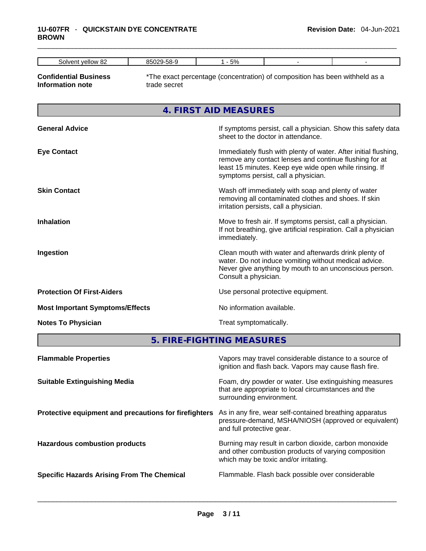#### \_\_\_\_\_\_\_\_\_\_\_\_\_\_\_\_\_\_\_\_\_\_\_\_\_\_\_\_\_\_\_\_\_\_\_\_\_\_\_\_\_\_\_\_\_\_\_\_\_\_\_\_\_\_\_\_\_\_\_\_\_\_\_\_\_\_\_\_\_\_\_\_\_\_\_\_\_\_\_\_\_\_\_\_\_\_\_\_\_\_\_\_\_ **1U-607FR** - **QUICKSTAIN DYE CONCENTRATE BROWN**

| $\sim$<br>solver'<br>Vellow<br>∘∝ | nr.<br>oι<br>oo. | E <sub>0</sub><br>Ö<br><u>u w</u> |  |
|-----------------------------------|------------------|-----------------------------------|--|

**Confidential Business Information note**

\*The exact percentage (concentration) of composition has been withheld as a trade secret

**4. FIRST AID MEASURES** 

| <b>General Advice</b>                  | If symptoms persist, call a physician. Show this safety data<br>sheet to the doctor in attendance.                                                                                                                         |
|----------------------------------------|----------------------------------------------------------------------------------------------------------------------------------------------------------------------------------------------------------------------------|
| <b>Eye Contact</b>                     | Immediately flush with plenty of water. After initial flushing,<br>remove any contact lenses and continue flushing for at<br>least 15 minutes. Keep eye wide open while rinsing. If<br>symptoms persist, call a physician. |
| <b>Skin Contact</b>                    | Wash off immediately with soap and plenty of water<br>removing all contaminated clothes and shoes. If skin<br>irritation persists, call a physician.                                                                       |
| <b>Inhalation</b>                      | Move to fresh air. If symptoms persist, call a physician.<br>If not breathing, give artificial respiration. Call a physician<br>immediately.                                                                               |
| Ingestion                              | Clean mouth with water and afterwards drink plenty of<br>water. Do not induce vomiting without medical advice.<br>Never give anything by mouth to an unconscious person.<br>Consult a physician.                           |
| <b>Protection Of First-Aiders</b>      | Use personal protective equipment.                                                                                                                                                                                         |
| <b>Most Important Symptoms/Effects</b> | No information available.                                                                                                                                                                                                  |
| <b>Notes To Physician</b>              | Treat symptomatically.                                                                                                                                                                                                     |

**5. FIRE-FIGHTING MEASURES** 

| <b>Flammable Properties</b>                           | Vapors may travel considerable distance to a source of<br>ignition and flash back. Vapors may cause flash fire.                                        |
|-------------------------------------------------------|--------------------------------------------------------------------------------------------------------------------------------------------------------|
| <b>Suitable Extinguishing Media</b>                   | Foam, dry powder or water. Use extinguishing measures<br>that are appropriate to local circumstances and the<br>surrounding environment.               |
| Protective equipment and precautions for firefighters | As in any fire, wear self-contained breathing apparatus<br>pressure-demand, MSHA/NIOSH (approved or equivalent)<br>and full protective gear.           |
| <b>Hazardous combustion products</b>                  | Burning may result in carbon dioxide, carbon monoxide<br>and other combustion products of varying composition<br>which may be toxic and/or irritating. |
| <b>Specific Hazards Arising From The Chemical</b>     | Flammable. Flash back possible over considerable                                                                                                       |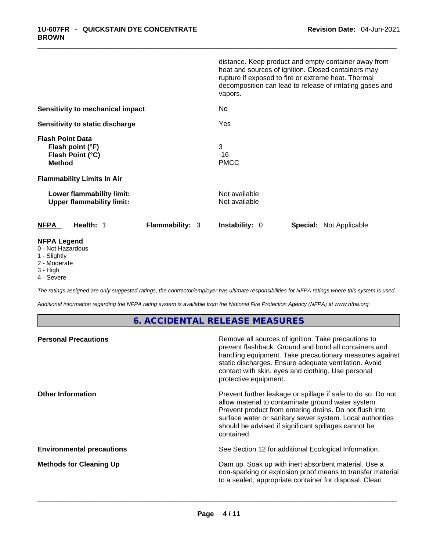|                                                                                                                | distance. Keep product and empty container away from<br>heat and sources of ignition. Closed containers may<br>rupture if exposed to fire or extreme heat. Thermal<br>decomposition can lead to release of irritating gases and<br>vapors. |
|----------------------------------------------------------------------------------------------------------------|--------------------------------------------------------------------------------------------------------------------------------------------------------------------------------------------------------------------------------------------|
| Sensitivity to mechanical impact                                                                               | No                                                                                                                                                                                                                                         |
| Sensitivity to static discharge                                                                                | Yes                                                                                                                                                                                                                                        |
| <b>Flash Point Data</b><br>Flash point (°F)<br>Flash Point (°C)<br>Method<br><b>Flammability Limits In Air</b> | 3<br>$-16$<br><b>PMCC</b>                                                                                                                                                                                                                  |
| Lower flammability limit:<br><b>Upper flammability limit:</b>                                                  | Not available<br>Not available                                                                                                                                                                                                             |
| Health: 1<br><b>Flammability: 3</b><br><b>NFPA</b>                                                             | Instability: 0<br><b>Special: Not Applicable</b>                                                                                                                                                                                           |
| <b>NFPA Legend</b><br>0 - Not Hazardous<br>1 - Slightly<br>2 - Moderate                                        |                                                                                                                                                                                                                                            |

- 
- 3 High
- 4 Severe

*The ratings assigned are only suggested ratings, the contractor/employer has ultimate responsibilities for NFPA ratings where this system is used.* 

*Additional information regarding the NFPA rating system is available from the National Fire Protection Agency (NFPA) at www.nfpa.org.* 

### **6. ACCIDENTAL RELEASE MEASURES**

| Remove all sources of ignition. Take precautions to<br>prevent flashback. Ground and bond all containers and<br>handling equipment. Take precautionary measures against<br>static discharges. Ensure adequate ventilation. Avoid<br>contact with skin, eyes and clothing. Use personal<br>protective equipment.  |
|------------------------------------------------------------------------------------------------------------------------------------------------------------------------------------------------------------------------------------------------------------------------------------------------------------------|
| Prevent further leakage or spillage if safe to do so. Do not<br>allow material to contaminate ground water system.<br>Prevent product from entering drains. Do not flush into<br>surface water or sanitary sewer system. Local authorities<br>should be advised if significant spillages cannot be<br>contained. |
| See Section 12 for additional Ecological Information.                                                                                                                                                                                                                                                            |
| Dam up. Soak up with inert absorbent material. Use a<br>non-sparking or explosion proof means to transfer material<br>to a sealed, appropriate container for disposal. Clean                                                                                                                                     |
|                                                                                                                                                                                                                                                                                                                  |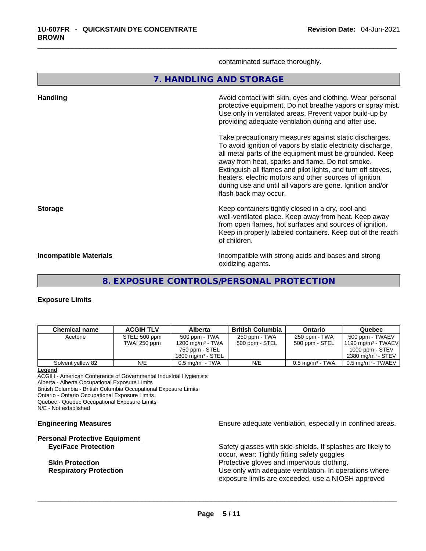contaminated surface thoroughly.

**7. HANDLING AND STORAGE** 

| <b>Handling</b>               | Avoid contact with skin, eyes and clothing. Wear personal<br>protective equipment. Do not breathe vapors or spray mist.<br>Use only in ventilated areas. Prevent vapor build-up by<br>providing adequate ventilation during and after use.                                                                                                                                                                                                           |
|-------------------------------|------------------------------------------------------------------------------------------------------------------------------------------------------------------------------------------------------------------------------------------------------------------------------------------------------------------------------------------------------------------------------------------------------------------------------------------------------|
|                               | Take precautionary measures against static discharges.<br>To avoid ignition of vapors by static electricity discharge,<br>all metal parts of the equipment must be grounded. Keep<br>away from heat, sparks and flame. Do not smoke.<br>Extinguish all flames and pilot lights, and turn off stoves,<br>heaters, electric motors and other sources of ignition<br>during use and until all vapors are gone. Ignition and/or<br>flash back may occur. |
| <b>Storage</b>                | Keep containers tightly closed in a dry, cool and<br>well-ventilated place. Keep away from heat. Keep away<br>from open flames, hot surfaces and sources of ignition.<br>Keep in properly labeled containers. Keep out of the reach<br>of children.                                                                                                                                                                                                  |
| <b>Incompatible Materials</b> | Incompatible with strong acids and bases and strong<br>oxidizing agents.                                                                                                                                                                                                                                                                                                                                                                             |

**8. EXPOSURE CONTROLS/PERSONAL PROTECTION** 

#### **Exposure Limits**

| <b>Chemical name</b> | <b>ACGIH TLV</b> | <b>Alberta</b>                | <b>British Columbia</b> | Ontario                       | Quebec                        |
|----------------------|------------------|-------------------------------|-------------------------|-------------------------------|-------------------------------|
| Acetone              | STEL: 500 ppm    | 500 ppm - TWA                 | 250 ppm - TWA           | 250 ppm - TWA                 | 500 ppm - TWAEV               |
|                      | TWA: 250 ppm     | 1200 mg/m $3$ - TWA           | 500 ppm - STEL          | 500 ppm - STEL                | $1190 \text{ mg/m}^3$ - TWAEV |
|                      |                  | 750 ppm - STEL                |                         |                               | 1000 ppm - $STEV$             |
|                      |                  | $1800 \text{ mg/m}^3$ - STEL  |                         |                               | 2380 mg/m <sup>3</sup> - STEV |
| Solvent vellow 82    | N/E              | $0.5$ mg/m <sup>3</sup> - TWA | N/E                     | $0.5$ mg/m <sup>3</sup> - TWA | $0.5$ mg/m $3$ - TWAEV        |

#### **Legend**

ACGIH - American Conference of Governmental Industrial Hygienists Alberta - Alberta Occupational Exposure Limits British Columbia - British Columbia Occupational Exposure Limits Ontario - Ontario Occupational Exposure Limits Quebec - Quebec Occupational Exposure Limits N/E - Not established

# **Personal Protective Equipment**

**Engineering Measures Ensure 2018** Ensure adequate ventilation, especially in confined areas.

**Eye/Face Protection** Safety glasses with side-shields. If splashes are likely to occur, wear: Tightly fitting safety goggles **Skin Protection Protection Protective gloves and impervious clothing. Respiratory Protection Exercise 2018** Use only with adequate ventilation. In operations where exposure limits are exceeded, use a NIOSH approved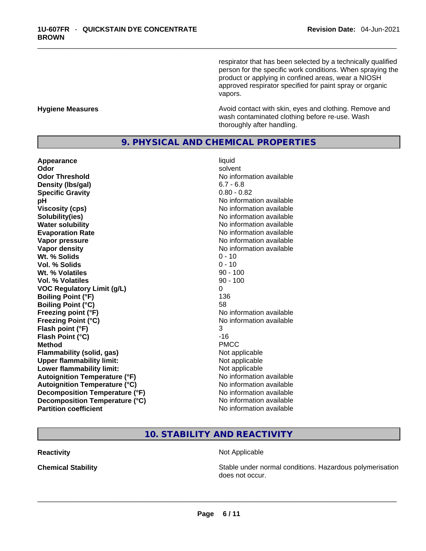respirator that has been selected by a technically qualified person for the specific work conditions. When spraying the product or applying in confined areas, wear a NIOSH approved respirator specified for paint spray or organic vapors.

#### **Hygiene Measures Avoid contact with skin, eyes and clothing. Remove and Avoid contact with skin, eyes and clothing. Remove and** wash contaminated clothing before re-use. Wash thoroughly after handling.

#### **9. PHYSICAL AND CHEMICAL PROPERTIES**

**Appearance** liquid **Odor Solvent Solvent Solvent Solvent Odor Threshold** No information available **Density (lbs/gal)** 6.7 - 6.8 **Specific Gravity** 0.80 - 0.82 **pH bH** *pH* **Viscosity (cps) Viscosity (cps) No information available Solubility(ies)** No information available in the solution of the solution of the solution available in the solution of the solution of the solution of the solution of the solution of the solution of the solution of the so **Water solubility No information available No information available Evaporation Rate No information available No information available Vapor pressure**  No information available **Vapor pressure No information available Vapor density**<br> **We Solids**<br>
We Solids **We Solid Solid Structure All Accord Contract Contract O - 10** Wt. % Solids **Vol. % Solids** 0 - 10 **Wt. % Volatiles** 90 - 100 **Vol. % Volatiles** 90 - 100 **VOC Regulatory Limit (g/L)** 0 **Boiling Point (°F)** 136 **Boiling Point (°C)** 58 **Freezing point (°F)** No information available **Freezing Point (°C)** No information available **Flash point (°F)** 3 **Flash Point (°C)** -16 **Method** PMCC **Flammability (solid, gas)**<br> **Upper flammability limit:**<br>
Upper flammability limit:<br>
Not applicable **Upper flammability limit:**<br> **Lower flammability limit:** Not applicable Not applicable **Lower flammability limit: Autoignition Temperature (°F)** No information available **Autoignition Temperature (°C)** No information available **Decomposition Temperature (°F)** No information available **Decomposition Temperature (°C)**<br> **Partition coefficient Partition coefficient No** information available

**No information available** 

## **10. STABILITY AND REACTIVITY**

#### **Reactivity Not Applicable Not Applicable**

**Chemical Stability Stability** Stable under normal conditions. Hazardous polymerisation does not occur. \_\_\_\_\_\_\_\_\_\_\_\_\_\_\_\_\_\_\_\_\_\_\_\_\_\_\_\_\_\_\_\_\_\_\_\_\_\_\_\_\_\_\_\_\_\_\_\_\_\_\_\_\_\_\_\_\_\_\_\_\_\_\_\_\_\_\_\_\_\_\_\_\_\_\_\_\_\_\_\_\_\_\_\_\_\_\_\_\_\_\_\_\_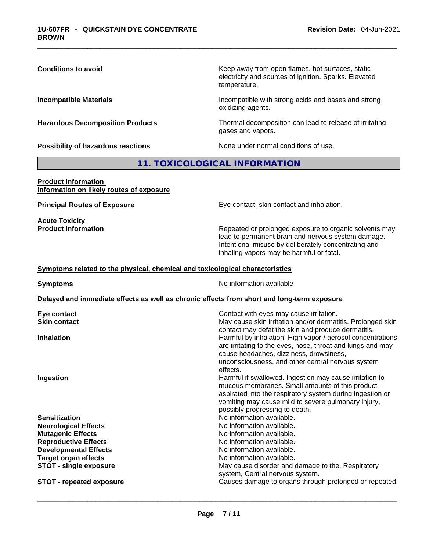Keep away from open flames, hot surfaces, static electricity and sources of ignition. Sparks. Elevated temperature.

**Incompatible Materials Incompatible with strong acids and bases and strong** oxidizing agents.

**Hazardous Decomposition Products** Thermal decomposition can lead to release of irritating gases and vapors.

**Possibility of hazardous reactions** None under normal conditions of use.

#### **11. TOXICOLOGICAL INFORMATION**

#### **Product Information Information on likely routes of exposure**

**Acute Toxicity**<br>**Product Information** 

**Principal Routes of Exposure Exposure** Eye contact, skin contact and inhalation.

Repeated or prolonged exposure to organic solvents may lead to permanent brain and nervous system damage. Intentional misuse by deliberately concentrating and inhaling vapors may be harmful or fatal.

#### **Symptoms related to the physical,chemical and toxicological characteristics**

**Symptoms No information available Delayed and immediate effects as well as chronic effects from short and long-term exposure Eye contact** Contact with eyes may cause irritation. **Skin contact May cause skin irritation and/or dermatitis. Prolonged skin** contact may defat the skin and produce dermatitis. **Inhalation** Harmful by inhalation. High vapor / aerosol concentrations are irritating to the eyes, nose, throat and lungs and may cause headaches, dizziness, drowsiness, unconsciousness, and other central nervous system effects. **Ingestion Ingestion Harmful if swallowed. Ingestion may cause irritation to** mucous membranes. Small amounts of this product aspirated into the respiratory system during ingestion or vomiting may cause mild to severe pulmonary injury, possibly progressing to death. **Sensitization Sensitization No information available. Neurological Effects** Noinformation available. **Mutagenic Effects No information available. Reproductive Effects No information available.** No information available. **Developmental Effects No information available. Target organ effects No information available. STOT -** single exposure **May cause disorder and damage to the, Respiratory May cause disorder and damage to the, Respiratory** system, Central nervous system. **STOT** - repeated exposure **Causes damage to organs through prolonged or repeated**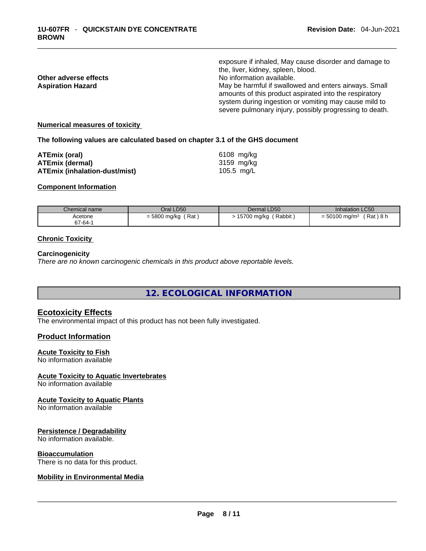|                          | exposure if inhaled, May cause disorder and damage to                                                                                                                                                                               |
|--------------------------|-------------------------------------------------------------------------------------------------------------------------------------------------------------------------------------------------------------------------------------|
|                          | the, liver, kidney, spleen, blood.                                                                                                                                                                                                  |
| Other adverse effects    | No information available.                                                                                                                                                                                                           |
| <b>Aspiration Hazard</b> | May be harmful if swallowed and enters airways. Small<br>amounts of this product aspirated into the respiratory<br>system during ingestion or vomiting may cause mild to<br>severe pulmonary injury, possibly progressing to death. |
|                          |                                                                                                                                                                                                                                     |

#### **Numerical measures of toxicity**

**The following values are calculated based on chapter 3.1 of the GHS document**

| ATEmix (oral)                        | 6108 mg/ka |
|--------------------------------------|------------|
| <b>ATEmix (dermal)</b>               | 3159 mg/kg |
| <b>ATEmix (inhalation-dust/mist)</b> | 105.5 mg/L |

#### **Component Information**

| Chemical name | Oral LD50            | Dermal LD50 | <b>Inhalation LC50</b>      |
|---------------|----------------------|-------------|-----------------------------|
| Acetone       | $=$ 5800 mg/kg (Rat) | (Rabbit)    | 'Rat ) 8 h                  |
| 67-64-1       |                      | 15700 mg/kg | $= 50100$ mg/m <sup>3</sup> |

#### **Chronic Toxicity**

#### **Carcinogenicity**

*There are no known carcinogenic chemicals in this product above reportable levels.* 

**12. ECOLOGICAL INFORMATION** 

#### **Ecotoxicity Effects**

The environmental impact of this product has not been fully investigated.

#### **Product Information**

#### **Acute Toxicity to Fish**

No information available

#### **Acute Toxicity to Aquatic Invertebrates**

No information available

#### **Acute Toxicity to Aquatic Plants**

No information available

#### **Persistence / Degradability**

No information available.

#### **Bioaccumulation**

# There is no data for this product. \_\_\_\_\_\_\_\_\_\_\_\_\_\_\_\_\_\_\_\_\_\_\_\_\_\_\_\_\_\_\_\_\_\_\_\_\_\_\_\_\_\_\_\_\_\_\_\_\_\_\_\_\_\_\_\_\_\_\_\_\_\_\_\_\_\_\_\_\_\_\_\_\_\_\_\_\_\_\_\_\_\_\_\_\_\_\_\_\_\_\_\_\_ **Mobility in Environmental Media**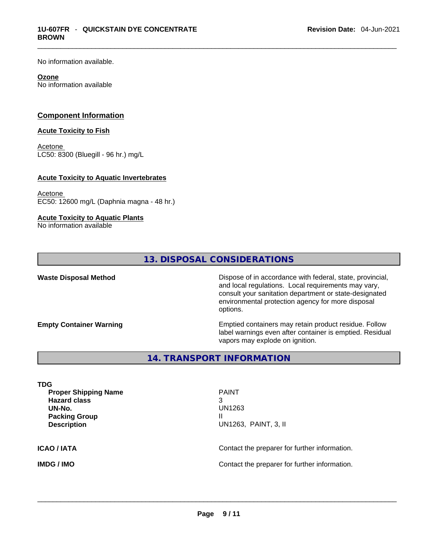No information available.

#### **Ozone**

No information available

#### **Component Information**

#### **Acute Toxicity to Fish**

Acetone LC50: 8300 (Bluegill - 96 hr.) mg/L

#### **Acute Toxicity to Aquatic Invertebrates**

Acetone EC50: 12600 mg/L (Daphnia magna - 48 hr.)

#### **Acute Toxicity to Aquatic Plants**

No information available

### **13. DISPOSAL CONSIDERATIONS**

**Waste Disposal Method** Dispose of in accordance with federal, state, provincial, and local regulations. Local requirements may vary, consult your sanitation department or state-designated environmental protection agency for more disposal options.

**Empty Container Warning <b>Emptied** Containers may retain product residue. Follow label warnings even after container is emptied. Residual vapors may explode on ignition.

**14. TRANSPORT INFORMATION** 

| TDG<br><b>Proper Shipping Name</b><br><b>Hazard class</b><br>UN-No.<br><b>Packing Group</b> | <b>PAINT</b><br>3<br>UN1263<br>Ш              |
|---------------------------------------------------------------------------------------------|-----------------------------------------------|
| <b>Description</b>                                                                          | UN1263, PAINT, 3, II                          |
| <b>ICAO/IATA</b>                                                                            | Contact the preparer for further information. |

**IMDG / IMO** Contact the preparer for further information. \_\_\_\_\_\_\_\_\_\_\_\_\_\_\_\_\_\_\_\_\_\_\_\_\_\_\_\_\_\_\_\_\_\_\_\_\_\_\_\_\_\_\_\_\_\_\_\_\_\_\_\_\_\_\_\_\_\_\_\_\_\_\_\_\_\_\_\_\_\_\_\_\_\_\_\_\_\_\_\_\_\_\_\_\_\_\_\_\_\_\_\_\_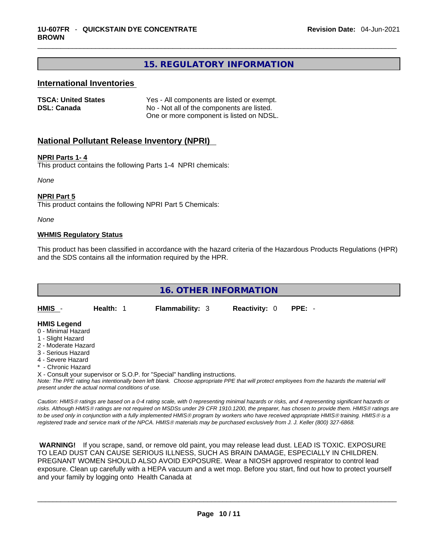### **15. REGULATORY INFORMATION**

#### **International Inventories**

| <b>TSCA: United States</b> | Yes - All components are listed or exempt. |
|----------------------------|--------------------------------------------|
| <b>DSL: Canada</b>         | No - Not all of the components are listed. |
|                            | One or more component is listed on NDSL.   |

#### **National Pollutant Release Inventory (NPRI)**

#### **NPRI Parts 1- 4**

This product contains the following Parts 1-4 NPRI chemicals:

*None*

#### **NPRI Part 5**

This product contains the following NPRI Part 5 Chemicals:

*None*

#### **WHMIS Regulatory Status**

This product has been classified in accordance with the hazard criteria of the Hazardous Products Regulations (HPR) and the SDS contains all the information required by the HPR.

## **16. OTHER INFORMATION HMIS** - **Health:** 1 **Flammability:** 3 **Reactivity:** 0 **PPE:** - **HMIS Legend** 0 - Minimal Hazard 1 - Slight Hazard 2 - Moderate Hazard

- 3 Serious Hazard
- 4 Severe Hazard
- \* Chronic Hazard

X - Consult your supervisor or S.O.P. for "Special" handling instructions.

Note: The PPE rating has intentionally been left blank. Choose appropriate PPE that will protect employees from the hazards the material will *present under the actual normal conditions of use.* 

*Caution: HMISÒ ratings are based on a 0-4 rating scale, with 0 representing minimal hazards or risks, and 4 representing significant hazards or risks. Although HMISÒ ratings are not required on MSDSs under 29 CFR 1910.1200, the preparer, has chosen to provide them. HMISÒ ratings are to be used only in conjunction with a fully implemented HMISÒ program by workers who have received appropriate HMISÒ training. HMISÒ is a registered trade and service mark of the NPCA. HMISÒ materials may be purchased exclusively from J. J. Keller (800) 327-6868.* 

 **WARNING!** If you scrape, sand, or remove old paint, you may release lead dust. LEAD IS TOXIC. EXPOSURE TO LEAD DUST CAN CAUSE SERIOUS ILLNESS, SUCH AS BRAIN DAMAGE, ESPECIALLY IN CHILDREN. PREGNANT WOMEN SHOULD ALSO AVOID EXPOSURE.Wear a NIOSH approved respirator to control lead exposure. Clean up carefully with a HEPA vacuum and a wet mop. Before you start, find out how to protect yourself and your family by logging onto Health Canada at